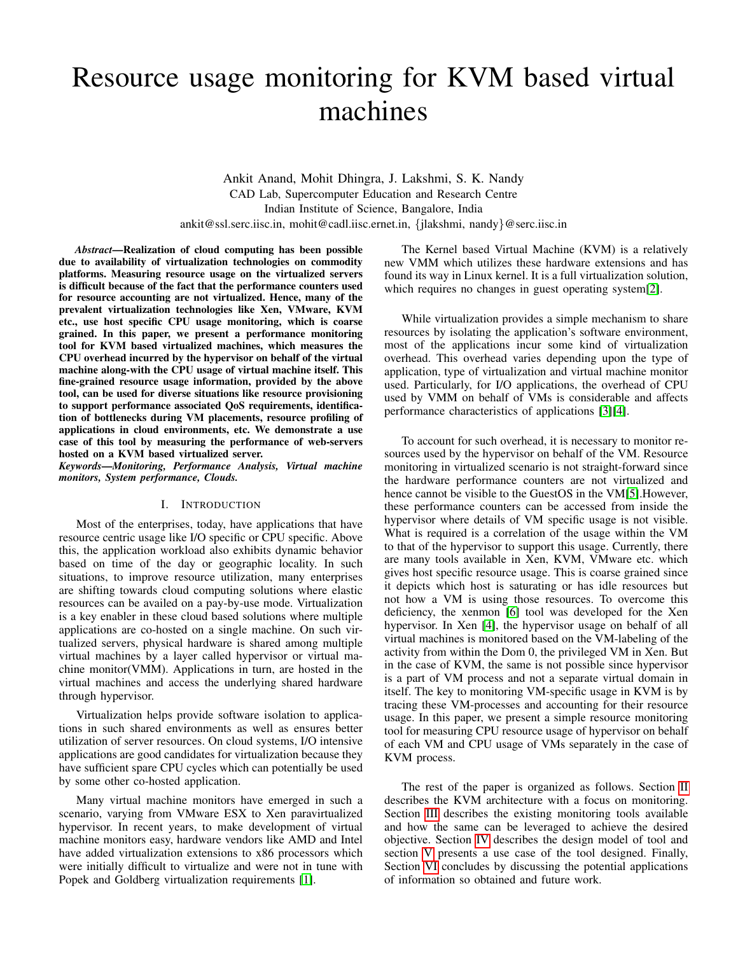# Resource usage monitoring for KVM based virtual machines

Ankit Anand, Mohit Dhingra, J. Lakshmi, S. K. Nandy CAD Lab, Supercomputer Education and Research Centre Indian Institute of Science, Bangalore, India ankit@ssl.serc.iisc.in, mohit@cadl.iisc.ernet.in, {jlakshmi, nandy}@serc.iisc.in

*Abstract*—Realization of cloud computing has been possible due to availability of virtualization technologies on commodity platforms. Measuring resource usage on the virtualized servers is difficult because of the fact that the performance counters used for resource accounting are not virtualized. Hence, many of the prevalent virtualization technologies like Xen, VMware, KVM etc., use host specific CPU usage monitoring, which is coarse grained. In this paper, we present a performance monitoring tool for KVM based virtualized machines, which measures the CPU overhead incurred by the hypervisor on behalf of the virtual machine along-with the CPU usage of virtual machine itself. This fine-grained resource usage information, provided by the above tool, can be used for diverse situations like resource provisioning to support performance associated QoS requirements, identification of bottlenecks during VM placements, resource profiling of applications in cloud environments, etc. We demonstrate a use case of this tool by measuring the performance of web-servers hosted on a KVM based virtualized server.

*Keywords*—*Monitoring, Performance Analysis, Virtual machine monitors, System performance, Clouds.*

# I. INTRODUCTION

Most of the enterprises, today, have applications that have resource centric usage like I/O specific or CPU specific. Above this, the application workload also exhibits dynamic behavior based on time of the day or geographic locality. In such situations, to improve resource utilization, many enterprises are shifting towards cloud computing solutions where elastic resources can be availed on a pay-by-use mode. Virtualization is a key enabler in these cloud based solutions where multiple applications are co-hosted on a single machine. On such virtualized servers, physical hardware is shared among multiple virtual machines by a layer called hypervisor or virtual machine monitor(VMM). Applications in turn, are hosted in the virtual machines and access the underlying shared hardware through hypervisor.

Virtualization helps provide software isolation to applications in such shared environments as well as ensures better utilization of server resources. On cloud systems, I/O intensive applications are good candidates for virtualization because they have sufficient spare CPU cycles which can potentially be used by some other co-hosted application.

Many virtual machine monitors have emerged in such a scenario, varying from VMware ESX to Xen paravirtualized hypervisor. In recent years, to make development of virtual machine monitors easy, hardware vendors like AMD and Intel have added virtualization extensions to x86 processors which were initially difficult to virtualize and were not in tune with Popek and Goldberg virtualization requirements [\[1\]](#page-4-0).

The Kernel based Virtual Machine (KVM) is a relatively new VMM which utilizes these hardware extensions and has found its way in Linux kernel. It is a full virtualization solution, which requires no changes in guest operating system[\[2\]](#page-4-1).

While virtualization provides a simple mechanism to share resources by isolating the application's software environment, most of the applications incur some kind of virtualization overhead. This overhead varies depending upon the type of application, type of virtualization and virtual machine monitor used. Particularly, for I/O applications, the overhead of CPU used by VMM on behalf of VMs is considerable and affects performance characteristics of applications [\[3\]](#page-4-2)[\[4\]](#page-4-3).

To account for such overhead, it is necessary to monitor resources used by the hypervisor on behalf of the VM. Resource monitoring in virtualized scenario is not straight-forward since the hardware performance counters are not virtualized and hence cannot be visible to the GuestOS in the VM[\[5\]](#page-4-4).However, these performance counters can be accessed from inside the hypervisor where details of VM specific usage is not visible. What is required is a correlation of the usage within the VM to that of the hypervisor to support this usage. Currently, there are many tools available in Xen, KVM, VMware etc. which gives host specific resource usage. This is coarse grained since it depicts which host is saturating or has idle resources but not how a VM is using those resources. To overcome this deficiency, the xenmon [\[6\]](#page-4-5) tool was developed for the Xen hypervisor. In Xen [\[4\]](#page-4-3), the hypervisor usage on behalf of all virtual machines is monitored based on the VM-labeling of the activity from within the Dom 0, the privileged VM in Xen. But in the case of KVM, the same is not possible since hypervisor is a part of VM process and not a separate virtual domain in itself. The key to monitoring VM-specific usage in KVM is by tracing these VM-processes and accounting for their resource usage. In this paper, we present a simple resource monitoring tool for measuring CPU resource usage of hypervisor on behalf of each VM and CPU usage of VMs separately in the case of KVM process.

The rest of the paper is organized as follows. Section [II](#page-1-0) describes the KVM architecture with a focus on monitoring. Section [III](#page-1-1) describes the existing monitoring tools available and how the same can be leveraged to achieve the desired objective. Section [IV](#page-2-0) describes the design model of tool and section [V](#page-2-1) presents a use case of the tool designed. Finally, Section [VI](#page-4-6) concludes by discussing the potential applications of information so obtained and future work.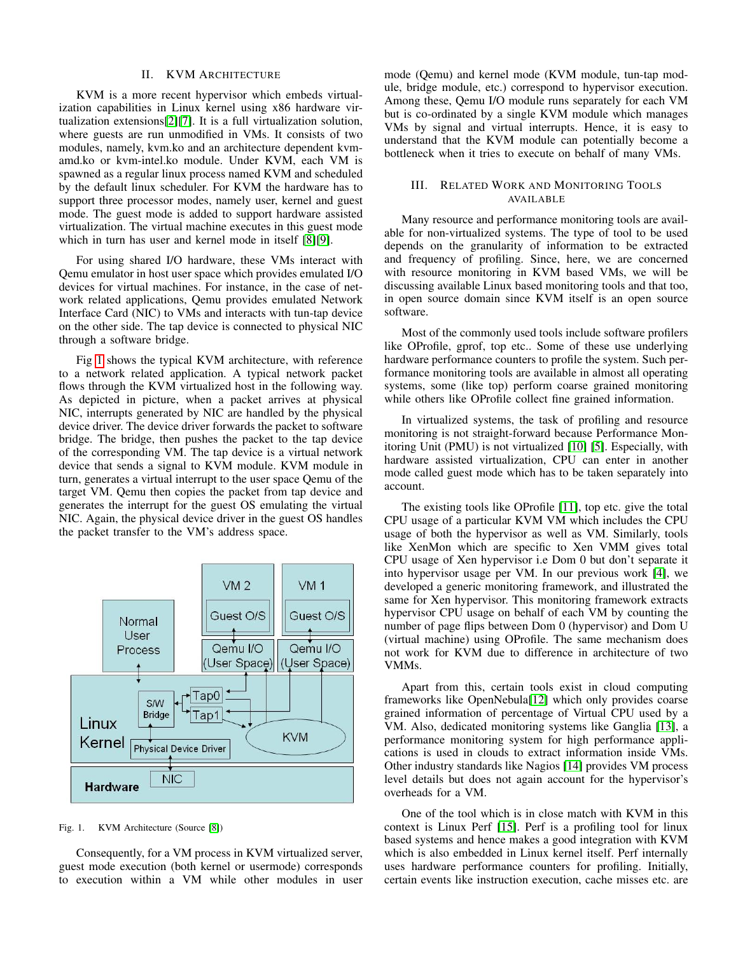## II. KVM ARCHITECTURE

<span id="page-1-0"></span>KVM is a more recent hypervisor which embeds virtualization capabilities in Linux kernel using x86 hardware virtualization extensions[\[2\]](#page-4-1)[\[7\]](#page-4-7). It is a full virtualization solution, where guests are run unmodified in VMs. It consists of two modules, namely, kvm.ko and an architecture dependent kvmamd.ko or kvm-intel.ko module. Under KVM, each VM is spawned as a regular linux process named KVM and scheduled by the default linux scheduler. For KVM the hardware has to support three processor modes, namely user, kernel and guest mode. The guest mode is added to support hardware assisted virtualization. The virtual machine executes in this guest mode which in turn has user and kernel mode in itself [\[8\]](#page-4-8)[\[9\]](#page-4-9).

For using shared I/O hardware, these VMs interact with Qemu emulator in host user space which provides emulated I/O devices for virtual machines. For instance, in the case of network related applications, Qemu provides emulated Network Interface Card (NIC) to VMs and interacts with tun-tap device on the other side. The tap device is connected to physical NIC through a software bridge.

Fig [1](#page-1-2) shows the typical KVM architecture, with reference to a network related application. A typical network packet flows through the KVM virtualized host in the following way. As depicted in picture, when a packet arrives at physical NIC, interrupts generated by NIC are handled by the physical device driver. The device driver forwards the packet to software bridge. The bridge, then pushes the packet to the tap device of the corresponding VM. The tap device is a virtual network device that sends a signal to KVM module. KVM module in turn, generates a virtual interrupt to the user space Qemu of the target VM. Qemu then copies the packet from tap device and generates the interrupt for the guest OS emulating the virtual NIC. Again, the physical device driver in the guest OS handles the packet transfer to the VM's address space.



<span id="page-1-2"></span>Fig. 1. KVM Architecture (Source [\[8\]](#page-4-8))

Consequently, for a VM process in KVM virtualized server, guest mode execution (both kernel or usermode) corresponds to execution within a VM while other modules in user mode (Qemu) and kernel mode (KVM module, tun-tap module, bridge module, etc.) correspond to hypervisor execution. Among these, Qemu I/O module runs separately for each VM but is co-ordinated by a single KVM module which manages VMs by signal and virtual interrupts. Hence, it is easy to understand that the KVM module can potentially become a bottleneck when it tries to execute on behalf of many VMs.

# <span id="page-1-1"></span>III. RELATED WORK AND MONITORING TOOLS AVAILABLE

Many resource and performance monitoring tools are available for non-virtualized systems. The type of tool to be used depends on the granularity of information to be extracted and frequency of profiling. Since, here, we are concerned with resource monitoring in KVM based VMs, we will be discussing available Linux based monitoring tools and that too, in open source domain since KVM itself is an open source software.

Most of the commonly used tools include software profilers like OProfile, gprof, top etc.. Some of these use underlying hardware performance counters to profile the system. Such performance monitoring tools are available in almost all operating systems, some (like top) perform coarse grained monitoring while others like OProfile collect fine grained information.

In virtualized systems, the task of profiling and resource monitoring is not straight-forward because Performance Monitoring Unit (PMU) is not virtualized [\[10\]](#page-4-10) [\[5\]](#page-4-4). Especially, with hardware assisted virtualization, CPU can enter in another mode called guest mode which has to be taken separately into account.

The existing tools like OProfile [\[11\]](#page-4-11), top etc. give the total CPU usage of a particular KVM VM which includes the CPU usage of both the hypervisor as well as VM. Similarly, tools like XenMon which are specific to Xen VMM gives total CPU usage of Xen hypervisor i.e Dom 0 but don't separate it into hypervisor usage per VM. In our previous work [\[4\]](#page-4-3), we developed a generic monitoring framework, and illustrated the same for Xen hypervisor. This monitoring framework extracts hypervisor CPU usage on behalf of each VM by counting the number of page flips between Dom 0 (hypervisor) and Dom U (virtual machine) using OProfile. The same mechanism does not work for KVM due to difference in architecture of two VMMs.

Apart from this, certain tools exist in cloud computing frameworks like OpenNebula[\[12\]](#page-4-12) which only provides coarse grained information of percentage of Virtual CPU used by a VM. Also, dedicated monitoring systems like Ganglia [\[13\]](#page-4-13), a performance monitoring system for high performance applications is used in clouds to extract information inside VMs. Other industry standards like Nagios [\[14\]](#page-4-14) provides VM process level details but does not again account for the hypervisor's overheads for a VM.

One of the tool which is in close match with KVM in this context is Linux Perf [\[15\]](#page-4-15). Perf is a profiling tool for linux based systems and hence makes a good integration with KVM which is also embedded in Linux kernel itself. Perf internally uses hardware performance counters for profiling. Initially, certain events like instruction execution, cache misses etc. are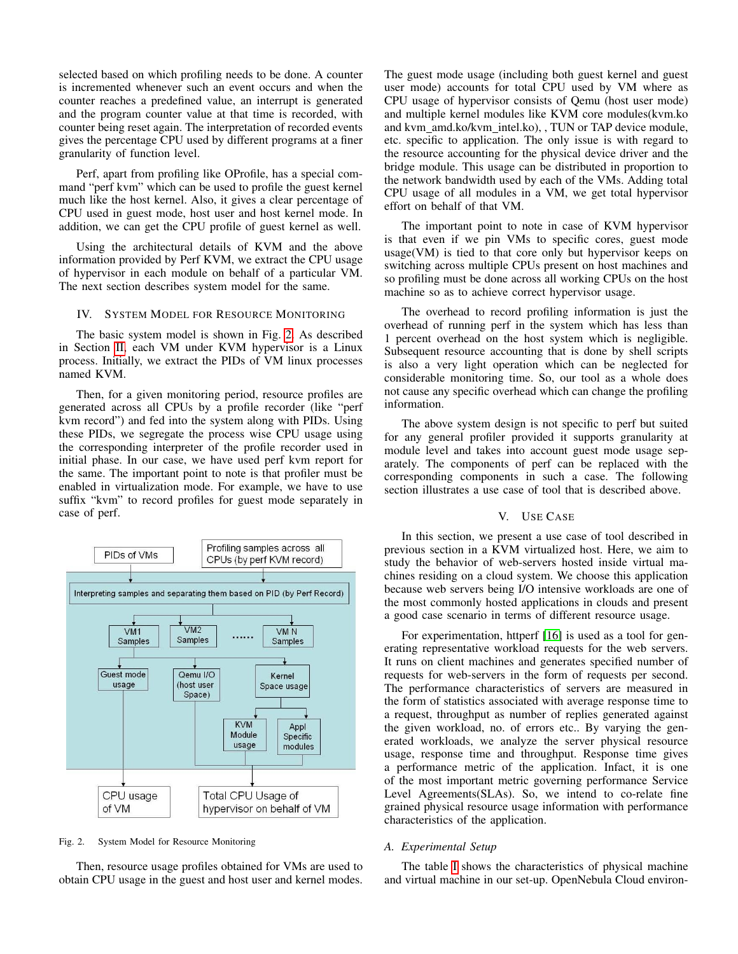selected based on which profiling needs to be done. A counter is incremented whenever such an event occurs and when the counter reaches a predefined value, an interrupt is generated and the program counter value at that time is recorded, with counter being reset again. The interpretation of recorded events gives the percentage CPU used by different programs at a finer granularity of function level.

Perf, apart from profiling like OProfile, has a special command "perf kvm" which can be used to profile the guest kernel much like the host kernel. Also, it gives a clear percentage of CPU used in guest mode, host user and host kernel mode. In addition, we can get the CPU profile of guest kernel as well.

Using the architectural details of KVM and the above information provided by Perf KVM, we extract the CPU usage of hypervisor in each module on behalf of a particular VM. The next section describes system model for the same.

#### <span id="page-2-0"></span>IV. SYSTEM MODEL FOR RESOURCE MONITORING

The basic system model is shown in Fig. [2.](#page-2-2) As described in Section [II,](#page-1-0) each VM under KVM hypervisor is a Linux process. Initially, we extract the PIDs of VM linux processes named KVM.

Then, for a given monitoring period, resource profiles are generated across all CPUs by a profile recorder (like "perf kvm record") and fed into the system along with PIDs. Using these PIDs, we segregate the process wise CPU usage using the corresponding interpreter of the profile recorder used in initial phase. In our case, we have used perf kvm report for the same. The important point to note is that profiler must be enabled in virtualization mode. For example, we have to use suffix "kvm" to record profiles for guest mode separately in case of perf.



<span id="page-2-2"></span>Fig. 2. System Model for Resource Monitoring

Then, resource usage profiles obtained for VMs are used to obtain CPU usage in the guest and host user and kernel modes. The guest mode usage (including both guest kernel and guest user mode) accounts for total CPU used by VM where as CPU usage of hypervisor consists of Qemu (host user mode) and multiple kernel modules like KVM core modules(kvm.ko and kvm amd.ko/kvm intel.ko), , TUN or TAP device module, etc. specific to application. The only issue is with regard to the resource accounting for the physical device driver and the bridge module. This usage can be distributed in proportion to the network bandwidth used by each of the VMs. Adding total CPU usage of all modules in a VM, we get total hypervisor effort on behalf of that VM.

The important point to note in case of KVM hypervisor is that even if we pin VMs to specific cores, guest mode usage(VM) is tied to that core only but hypervisor keeps on switching across multiple CPUs present on host machines and so profiling must be done across all working CPUs on the host machine so as to achieve correct hypervisor usage.

The overhead to record profiling information is just the overhead of running perf in the system which has less than 1 percent overhead on the host system which is negligible. Subsequent resource accounting that is done by shell scripts is also a very light operation which can be neglected for considerable monitoring time. So, our tool as a whole does not cause any specific overhead which can change the profiling information.

The above system design is not specific to perf but suited for any general profiler provided it supports granularity at module level and takes into account guest mode usage separately. The components of perf can be replaced with the corresponding components in such a case. The following section illustrates a use case of tool that is described above.

#### V. USE CASE

<span id="page-2-1"></span>In this section, we present a use case of tool described in previous section in a KVM virtualized host. Here, we aim to study the behavior of web-servers hosted inside virtual machines residing on a cloud system. We choose this application because web servers being I/O intensive workloads are one of the most commonly hosted applications in clouds and present a good case scenario in terms of different resource usage.

For experimentation, httperf [\[16\]](#page-4-16) is used as a tool for generating representative workload requests for the web servers. It runs on client machines and generates specified number of requests for web-servers in the form of requests per second. The performance characteristics of servers are measured in the form of statistics associated with average response time to a request, throughput as number of replies generated against the given workload, no. of errors etc.. By varying the generated workloads, we analyze the server physical resource usage, response time and throughput. Response time gives a performance metric of the application. Infact, it is one of the most important metric governing performance Service Level Agreements(SLAs). So, we intend to co-relate fine grained physical resource usage information with performance characteristics of the application.

#### *A. Experimental Setup*

The table [I](#page-3-0) shows the characteristics of physical machine and virtual machine in our set-up. OpenNebula Cloud environ-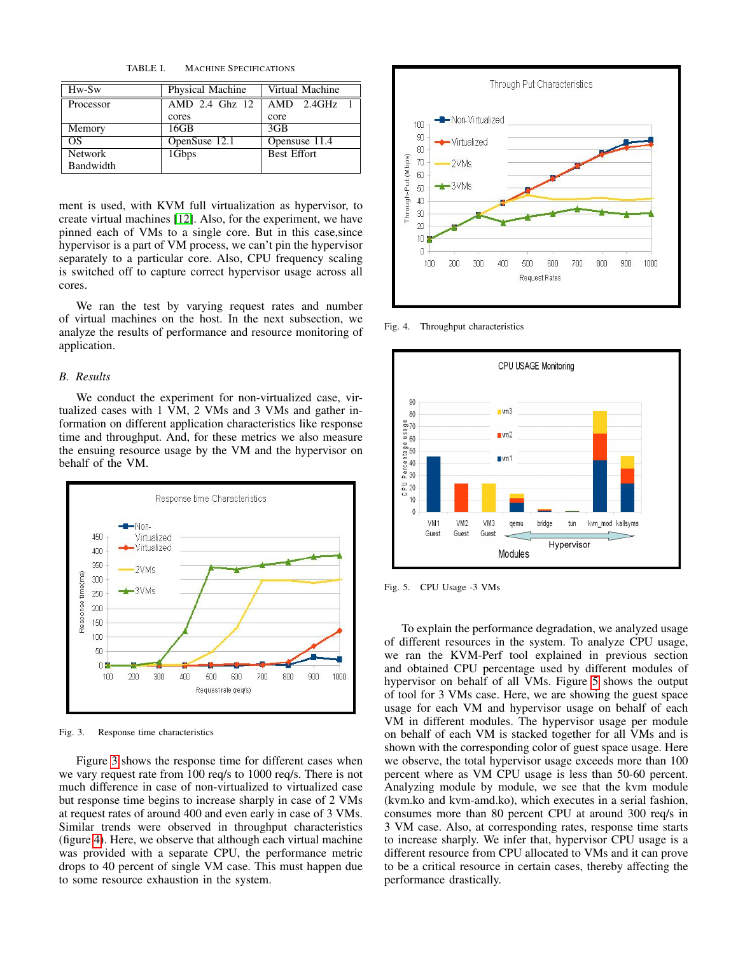<span id="page-3-0"></span>TABLE I. MACHINE SPECIFICATIONS

| Hw-Sw          | Physical Machine | Virtual Machine    |
|----------------|------------------|--------------------|
| Processor      | AMD 2.4 Ghz 12   | $AMD$ 2.4GHz 1     |
|                | cores            | core               |
| Memory         | 16GB             | 3 <sub>GB</sub>    |
| OS             | OpenSuse 12.1    | Opensuse 11.4      |
| <b>Network</b> | 1Gbps            | <b>Best Effort</b> |
| Bandwidth      |                  |                    |

ment is used, with KVM full virtualization as hypervisor, to create virtual machines [\[12\]](#page-4-12). Also, for the experiment, we have pinned each of VMs to a single core. But in this case,since hypervisor is a part of VM process, we can't pin the hypervisor separately to a particular core. Also, CPU frequency scaling is switched off to capture correct hypervisor usage across all cores.

We ran the test by varying request rates and number of virtual machines on the host. In the next subsection, we analyze the results of performance and resource monitoring of application.

# *B. Results*

We conduct the experiment for non-virtualized case, virtualized cases with 1 VM, 2 VMs and 3 VMs and gather information on different application characteristics like response time and throughput. And, for these metrics we also measure the ensuing resource usage by the VM and the hypervisor on behalf of the VM.



<span id="page-3-1"></span>Fig. 3. Response time characteristics

Figure [3](#page-3-1) shows the response time for different cases when we vary request rate from 100 req/s to 1000 req/s. There is not much difference in case of non-virtualized to virtualized case but response time begins to increase sharply in case of 2 VMs at request rates of around 400 and even early in case of 3 VMs. Similar trends were observed in throughput characteristics (figure [4\)](#page-3-2). Here, we observe that although each virtual machine was provided with a separate CPU, the performance metric drops to 40 percent of single VM case. This must happen due to some resource exhaustion in the system.



<span id="page-3-2"></span>Fig. 4. Throughput characteristics



<span id="page-3-3"></span>Fig. 5. CPU Usage -3 VMs

To explain the performance degradation, we analyzed usage of different resources in the system. To analyze CPU usage, we ran the KVM-Perf tool explained in previous section and obtained CPU percentage used by different modules of hypervisor on behalf of all VMs. Figure [5](#page-3-3) shows the output of tool for 3 VMs case. Here, we are showing the guest space usage for each VM and hypervisor usage on behalf of each VM in different modules. The hypervisor usage per module on behalf of each VM is stacked together for all VMs and is shown with the corresponding color of guest space usage. Here we observe, the total hypervisor usage exceeds more than 100 percent where as VM CPU usage is less than 50-60 percent. Analyzing module by module, we see that the kvm module (kvm.ko and kvm-amd.ko), which executes in a serial fashion, consumes more than 80 percent CPU at around 300 req/s in 3 VM case. Also, at corresponding rates, response time starts to increase sharply. We infer that, hypervisor CPU usage is a different resource from CPU allocated to VMs and it can prove to be a critical resource in certain cases, thereby affecting the performance drastically.